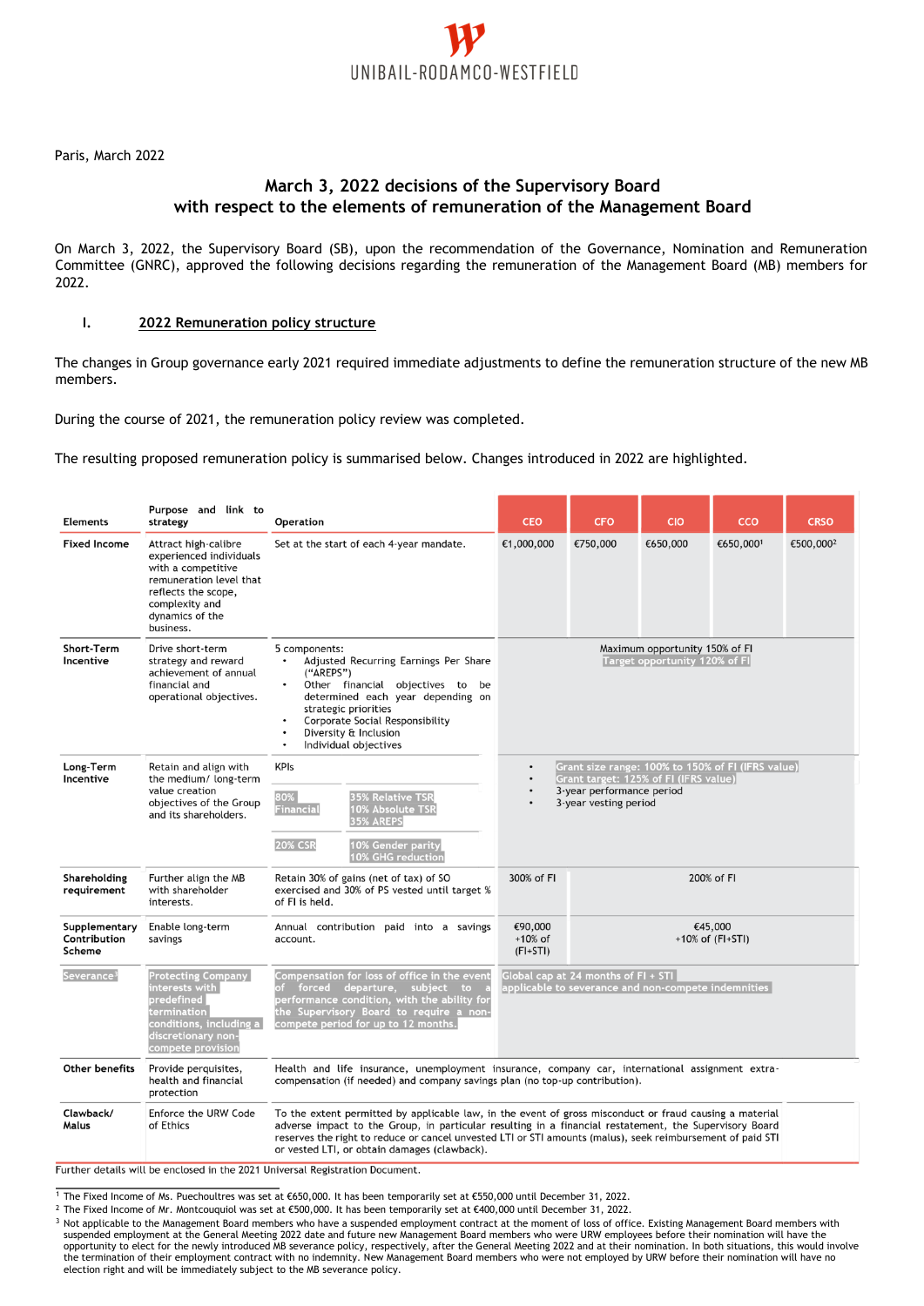

Paris, March 2022

## **March 3, 2022 decisions of the Supervisory Board with respect to the elements of remuneration of the Management Board**

On March 3, 2022, the Supervisory Board (SB), upon the recommendation of the Governance, Nomination and Remuneration Committee (GNRC), approved the following decisions regarding the remuneration of the Management Board (MB) members for 2022.

## **I. 2022 Remuneration policy structure**

The changes in Group governance early 2021 required immediate adjustments to define the remuneration structure of the new MB members.

During the course of 2021, the remuneration policy review was completed.

The resulting proposed remuneration policy is summarised below. Changes introduced in 2022 are highlighted.

| <b>Elements</b>                         | Purpose and link to<br>strategy                                                                                                                                           | Operation                                                                                                                                                                                                                                                                                                                                                                       | <b>CEO</b>                                                                                                                                                                     | <b>CFO</b>                     | <b>CIO</b> | <b>CCO</b> | <b>CRSO</b>           |
|-----------------------------------------|---------------------------------------------------------------------------------------------------------------------------------------------------------------------------|---------------------------------------------------------------------------------------------------------------------------------------------------------------------------------------------------------------------------------------------------------------------------------------------------------------------------------------------------------------------------------|--------------------------------------------------------------------------------------------------------------------------------------------------------------------------------|--------------------------------|------------|------------|-----------------------|
| <b>Fixed Income</b>                     | Attract high-calibre<br>experienced individuals<br>with a competitive<br>remuneration level that<br>reflects the scope,<br>complexity and<br>dynamics of the<br>business. | Set at the start of each 4-year mandate.                                                                                                                                                                                                                                                                                                                                        | €1,000,000                                                                                                                                                                     | €750,000                       | €650,000   | €650,0001  | €500,000 <sup>2</sup> |
| Short-Term<br>Incentive                 | Drive short-term<br>strategy and reward<br>achievement of annual<br>financial and<br>operational objectives.                                                              | 5 components:<br>Adjusted Recurring Earnings Per Share<br>("AREPS")<br>Other financial objectives to be<br>determined each year depending on<br>strategic priorities<br>Corporate Social Responsibility<br>Diversity & Inclusion<br>$\bullet$<br>Individual objectives<br>$\bullet$                                                                                             | Maximum opportunity 150% of FI<br>Target opportunity 120% of FI                                                                                                                |                                |            |            |                       |
| Long-Term<br>Incentive                  | Retain and align with<br>the medium/ long-term<br>value creation<br>objectives of the Group<br>and its shareholders.                                                      | <b>KPIs</b><br>80%<br><b>35% Relative TSR</b><br>10% Absolute TSR<br><u>Financial</u><br><b>35% AREPS</b><br><b>20% CSR</b><br><b>10% Gender parity</b><br><b>10% GHG reduction</b>                                                                                                                                                                                             | Grant size range: 100% to 150% of FI (IFRS value)<br>$\bullet$<br>Grant target: 125% of FI (IFRS value)<br>3-year performance period<br>3-year vesting period                  |                                |            |            |                       |
| Shareholding<br>requirement             | Further align the MB<br>with shareholder<br>interests.                                                                                                                    | Retain 30% of gains (net of tax) of SO<br>exercised and 30% of PS vested until target %<br>of FI is held.                                                                                                                                                                                                                                                                       | 300% of FI<br>200% of FI                                                                                                                                                       |                                |            |            |                       |
| Supplementary<br>Contribution<br>Scheme | Enable long-term<br>savings                                                                                                                                               | Annual contribution paid into a savings<br>account.                                                                                                                                                                                                                                                                                                                             | €90,000<br>$+10%$ of<br>$(FI+STI)$                                                                                                                                             | €45,000<br>$+10\%$ of (FI+STI) |            |            |                       |
| Severance <sup>3</sup>                  | <b>Protecting Company</b>  <br>interests with<br>predefined<br>termination<br>conditions, including a $\vert$<br>discretionary non-<br>compete provision                  | Compensation for loss of office in the event<br>forced departure, subject to<br>of .<br>performance condition, with the ability for<br>the Supervisory Board to require a non-<br>compete period for up to 12 months.                                                                                                                                                           | Global cap at 24 months of FI + STI<br>applicable to severance and non-compete indemnities                                                                                     |                                |            |            |                       |
| Other benefits                          | Provide perquisites,<br>health and financial<br>protection                                                                                                                |                                                                                                                                                                                                                                                                                                                                                                                 | Health and life insurance, unemployment insurance, company car, international assignment extra-<br>compensation (if needed) and company savings plan (no top-up contribution). |                                |            |            |                       |
| Clawback/<br>Malus                      | Enforce the URW Code<br>of Ethics                                                                                                                                         | To the extent permitted by applicable law, in the event of gross misconduct or fraud causing a material<br>adverse impact to the Group, in particular resulting in a financial restatement, the Supervisory Board<br>reserves the right to reduce or cancel unvested LTI or STI amounts (malus), seek reimbursement of paid STI<br>or vested LTI, or obtain damages (clawback). |                                                                                                                                                                                |                                |            |            |                       |

Further details will be enclosed in the 2021 Universal Registration Document.

<sup>1</sup> The Fixed Income of Ms. Puechoultres was set at €650,000. It has been temporarily set at €550,000 until December 31, 2022.

<sup>2</sup> The Fixed Income of Mr. Montcouquiol was set at €500,000. It has been temporarily set at €400,000 until December 31, 2022.

<sup>3</sup> Not applicable to the Management Board members who have a suspended employment contract at the moment of loss of office. Existing Management Board members with suspended employment at the General Meeting 2022 date and future new Management Board members who were URW employees before their nomination will have the opportunity to elect for the newly introduced MB severance policy, respectively, after the General Meeting 2022 and at their nomination. In both situations, this would involve<br>the termination of their employment contract w election right and will be immediately subject to the MB severance policy.